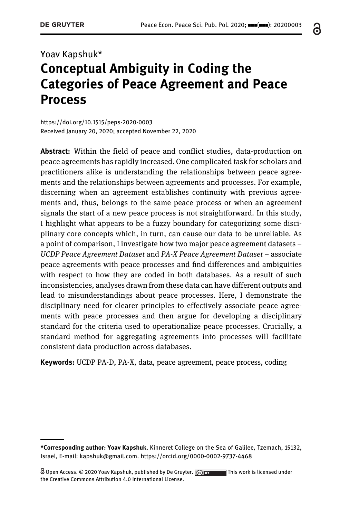# Yoav Kapshuk\* Conceptual Ambiguity in Coding the Categories of Peace Agreement and Peace Process

<https://doi.org/10.1515/peps-2020-0003> Received January 20, 2020; accepted November 22, 2020

**Abstract:** Within the field of peace and conflict studies, data-production on peace agreements has rapidly increased. One complicated task for scholars and practitioners alike is understanding the relationships between peace agreements and the relationships between agreements and processes. For example, discerning when an agreement establishes continuity with previous agreements and, thus, belongs to the same peace process or when an agreement signals the start of a new peace process is not straightforward. In this study, I highlight what appears to be a fuzzy boundary for categorizing some disciplinary core concepts which, in turn, can cause our data to be unreliable. As a point of comparison, I investigate how two major peace agreement datasets – UCDP Peace Agreement Dataset and PA-X Peace Agreement Dataset – associate peace agreements with peace processes and find differences and ambiguities with respect to how they are coded in both databases. As a result of such inconsistencies, analyses drawn from these data can have different outputs and lead to misunderstandings about peace processes. Here, I demonstrate the disciplinary need for clearer principles to effectively associate peace agreements with peace processes and then argue for developing a disciplinary standard for the criteria used to operationalize peace processes. Crucially, a standard method for aggregating agreements into processes will facilitate consistent data production across databases.

**Keywords:** UCDP PA-D, PA-X, data, peace agreement, peace process, coding

႕

<sup>\*</sup>Corresponding author: Yoav Kapshuk, Kinneret College on the Sea of Galilee, Tzemach, 15132, Israel, E-mail: [kapshuk@gmail.com.](mailto:kapshuk@gmail.com)<https://orcid.org/0000-0002-9737-4468>

 $\Theta$  Open Access. © 2020 Yoav Kapshuk, published by De Gruyter.  $\Box$   $\Theta$  by  $\Box$  This work is licensed under the Creative Commons Attribution 4.0 International License.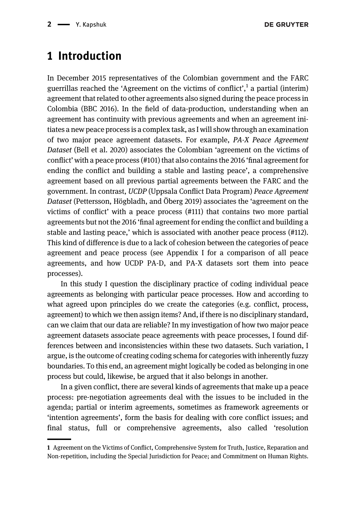### 1 Introduction

In December 2015 representatives of the Colombian government and the FARC guerrillas reached the 'Agreement on the victims of conflict', <sup>1</sup> a partial (interim) agreement that related to other agreements also signed during the peace process in Colombia [\(BBC 2016](#page-23-0)). In the field of data-production, understanding when an agreement has continuity with previous agreements and when an agreement initiates a new peace process is a complex task, as I will show through an examination of two major peace agreement datasets. For example, PA-X Peace Agreement Dataset [\(Bell et al. 2020\)](#page-23-1) associates the Colombian 'agreement on the victims of conflict' with a peace process (#101) that also contains the 2016 'final agreement for ending the conflict and building a stable and lasting peace', a comprehensive agreement based on all previous partial agreements between the FARC and the government. In contrast, UCDP (Uppsala Conflict Data Program) Peace Agreement Dataset ([Pettersson, Högbladh, and Öberg 2019\)](#page-23-2) associates the 'agreement on the victims of conflict' with a peace process (#111) that contains two more partial agreements but not the 2016 'final agreement for ending the conflict and building a stable and lasting peace,' which is associated with another peace process (#112). This kind of difference is due to a lack of cohesion between the categories of peace agreement and peace process (see [Appendix I](#page-24-0) for a comparison of all peace agreements, and how UCDP PA-D, and PA-X datasets sort them into peace processes).

In this study I question the disciplinary practice of coding individual peace agreements as belonging with particular peace processes. How and according to what agreed upon principles do we create the categories (e.g. conflict, process, agreement) to which we then assign items? And, if there is no disciplinary standard, can we claim that our data are reliable? In my investigation of how two major peace agreement datasets associate peace agreements with peace processes, I found differences between and inconsistencies within these two datasets. Such variation, I argue, is the outcome of creating coding schema for categories with inherently fuzzy boundaries. To this end, an agreement might logically be coded as belonging in one process but could, likewise, be argued that it also belongs in another.

In a given conflict, there are several kinds of agreements that make up a peace process: pre-negotiation agreements deal with the issues to be included in the agenda; partial or interim agreements, sometimes as framework agreements or 'intention agreements', form the basis for dealing with core conflict issues; and final status, full or comprehensive agreements, also called 'resolution

<sup>1</sup> Agreement on the Victims of Conflict, Comprehensive System for Truth, Justice, Reparation and Non-repetition, including the Special Jurisdiction for Peace; and Commitment on Human Rights.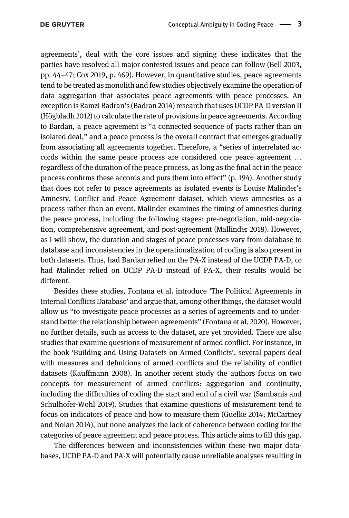agreements', deal with the core issues and signing these indicates that the parties have resolved all major contested issues and peace can follow [\(Bell 2003](#page-23-3), pp. 44–47; [Cox 2019,](#page-23-4) p. 469). However, in quantitative studies, peace agreements tend to be treated as monolith and few studies objectively examine the operation of data aggregation that associates peace agreements with peace processes. An exception is Ramzi Badran's ([Badran 2014](#page-23-5)) research that uses UCDP PA-D version II [\(Högbladh 2012](#page-23-6)) to calculate the rate of provisions in peace agreements. According to Bardan, a peace agreement is "a connected sequence of pacts rather than an isolated deal," and a peace process is the overall contract that emerges gradually from associating all agreements together. Therefore, a "series of interrelated accords within the same peace process are considered one peace agreement … regardless of the duration of the peace process, as long as the final act in the peace process confirms these accords and puts them into effect" (p. 194). Another study that does not refer to peace agreements as isolated events is Louise Malinder's Amnesty, Conflict and Peace Agreement dataset, which views amnesties as a process rather than an event. Malinder examines the timing of amnesties during the peace process, including the following stages: pre-negotiation, mid-negotiation, comprehensive agreement, and post-agreement ([Mallinder 2018\)](#page-23-7). However, as I will show, the duration and stages of peace processes vary from database to database and inconsistencies in the operationalization of coding is also present in both datasets. Thus, had Bardan relied on the PA-X instead of the UCDP PA-D, or had Malinder relied on UCDP PA-D instead of PA-X, their results would be different.

Besides these studies, Fontana et al. introduce 'The Political Agreements in Internal Conflicts Database' and argue that, among other things, the dataset would allow us "to investigate peace processes as a series of agreements and to understand better the relationship between agreements" [\(Fontana et al. 2020\)](#page-23-8). However, no further details, such as access to the dataset, are yet provided. There are also studies that examine questions of measurement of armed conflict. For instance, in the book 'Building and Using Datasets on Armed Conflicts', several papers deal with measures and definitions of armed conflicts and the reliability of conflict datasets [\(Kauffmann 2008\)](#page-23-9). In another recent study the authors focus on two concepts for measurement of armed conflicts: aggregation and continuity, including the difficulties of coding the start and end of a civil war [\(Sambanis and](#page-24-1) [Schulhofer-Wohl 2019](#page-24-1)). Studies that examine questions of measurement tend to focus on indicators of peace and how to measure them ([Guelke 2014; McCartney](#page-23-10) [and Nolan 2014](#page-23-10)), but none analyzes the lack of coherence between coding for the categories of peace agreement and peace process. This article aims to fill this gap.

The differences between and inconsistencies within these two major databases, UCDP PA-D and PA-X will potentially cause unreliable analyses resulting in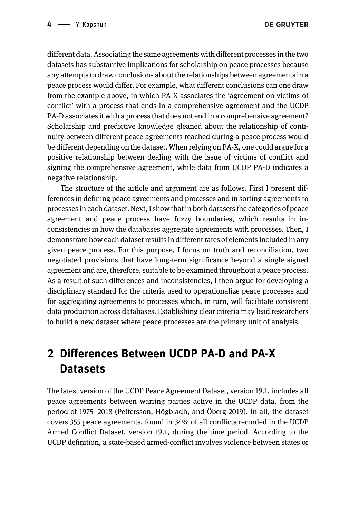different data. Associating the same agreements with different processes in the two datasets has substantive implications for scholarship on peace processes because any attempts to draw conclusions about the relationships between agreements in a peace process would differ. For example, what different conclusions can one draw from the example above, in which PA-X associates the 'agreement on victims of conflict' with a process that ends in a comprehensive agreement and the UCDP PA-D associates it with a process that does not end in a comprehensive agreement? Scholarship and predictive knowledge gleaned about the relationship of continuity between different peace agreements reached during a peace process would be different depending on the dataset. When relying on PA-X, one could argue for a positive relationship between dealing with the issue of victims of conflict and signing the comprehensive agreement, while data from UCDP PA-D indicates a negative relationship.

The structure of the article and argument are as follows. First I present differences in defining peace agreements and processes and in sorting agreements to processes in each dataset. Next, I show that in both datasets the categories of peace agreement and peace process have fuzzy boundaries, which results in inconsistencies in how the databases aggregate agreements with processes. Then, I demonstrate how each dataset results in different rates of elements included in any given peace process. For this purpose, I focus on truth and reconciliation, two negotiated provisions that have long-term significance beyond a single signed agreement and are, therefore, suitable to be examined throughout a peace process. As a result of such differences and inconsistencies, I then argue for developing a disciplinary standard for the criteria used to operationalize peace processes and for aggregating agreements to processes which, in turn, will facilitate consistent data production across databases. Establishing clear criteria may lead researchers to build a new dataset where peace processes are the primary unit of analysis.

# 2 Differences Between UCDP PA-D and PA-X **Datasets**

The latest version of the UCDP Peace Agreement Dataset, version 19.1, includes all peace agreements between warring parties active in the UCDP data, from the period of 1975–2018 ([Pettersson, Högbladh, and Öberg 2019](#page-23-2)). In all, the dataset covers 355 peace agreements, found in 34% of all conflicts recorded in the UCDP Armed Conflict Dataset, version 19.1, during the time period. According to the UCDP definition, a state-based armed-conflict involves violence between states or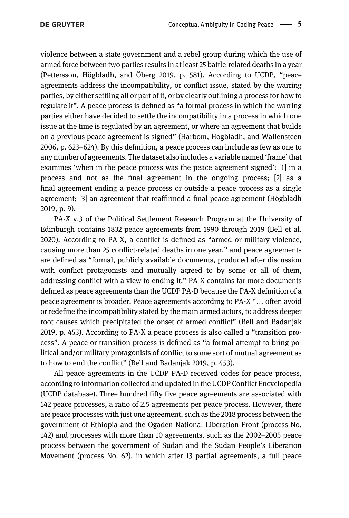violence between a state government and a rebel group during which the use of armed force between two parties results in at least 25 battle-related deaths in a year [\(Pettersson, Högbladh, and Öberg 2019,](#page-23-2) p. 581). According to UCDP, "peace agreements address the incompatibility, or conflict issue, stated by the warring parties, by either settling all or part of it, or by clearly outlining a process for how to regulate it". A peace process is defined as "a formal process in which the warring parties either have decided to settle the incompatibility in a process in which one issue at the time is regulated by an agreement, or where an agreement that builds on a previous peace agreement is signed" ([Harbom, Hogbladh, and Wallensteen](#page-23-11) [2006,](#page-23-11) p. 623–624). By this definition, a peace process can include as few as one to any number of agreements. The dataset also includes a variable named 'frame' that examines 'when in the peace process was the peace agreement signed': [1] in a process and not as the final agreement in the ongoing process; [2] as a final agreement ending a peace process or outside a peace process as a single agreement; [3] an agreement that reaffirmed a final peace agreement ([Högbladh](#page-23-12) [2019](#page-23-12), p. 9).

PA-X v.3 of the Political Settlement Research Program at the University of Edinburgh contains 1832 peace agreements from 1990 through 2019 ([Bell et al.](#page-23-1) [2020](#page-23-1)). According to PA-X, a conflict is defined as "armed or military violence, causing more than 25 conflict-related deaths in one year," and peace agreements are defined as "formal, publicly available documents, produced after discussion with conflict protagonists and mutually agreed to by some or all of them, addressing conflict with a view to ending it." PA-X contains far more documents defined as peace agreements than the UCDP PA-D because the PA-X definition of a peace agreement is broader. Peace agreements according to PA-X "… often avoid or redefine the incompatibility stated by the main armed actors, to address deeper root causes which precipitated the onset of armed conflict" ([Bell and Badanjak](#page-23-13) [2019](#page-23-13), p. 453). According to PA-X a peace process is also called a "transition process". A peace or transition process is defined as "a formal attempt to bring political and/or military protagonists of conflict to some sort of mutual agreement as to how to end the conflict" ([Bell and Badanjak 2019](#page-23-13), p. 453).

All peace agreements in the UCDP PA-D received codes for peace process, according to information collected and updated in the UCDP Conflict Encyclopedia (UCDP database). Three hundred fifty five peace agreements are associated with 142 peace processes, a ratio of 2.5 agreements per peace process. However, there are peace processes with just one agreement, such as the 2018 process between the government of Ethiopia and the Ogaden National Liberation Front (process No. 142) and processes with more than 10 agreements, such as the 2002–2005 peace process between the government of Sudan and the Sudan People's Liberation Movement (process No. 62), in which after 13 partial agreements, a full peace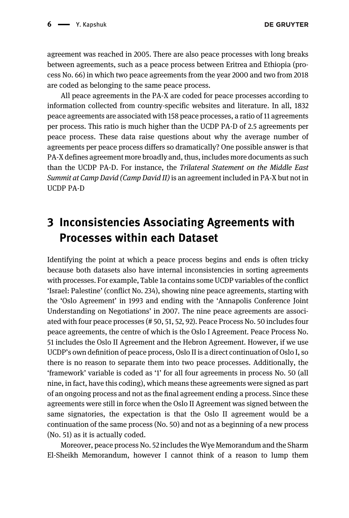agreement was reached in 2005. There are also peace processes with long breaks between agreements, such as a peace process between Eritrea and Ethiopia (process No. 66) in which two peace agreements from the year 2000 and two from 2018 are coded as belonging to the same peace process.

All peace agreements in the PA-X are coded for peace processes according to information collected from country-specific websites and literature. In all, 1832 peace agreements are associated with 158 peace processes, a ratio of 11 agreements per process. This ratio is much higher than the UCDP PA-D of 2.5 agreements per peace process. These data raise questions about why the average number of agreements per peace process differs so dramatically? One possible answer is that PA-X defines agreement more broadly and, thus, includes more documents as such than the UCDP PA-D. For instance, the Trilateral Statement on the Middle East Summit at Camp David (Camp David II) is an agreement included in PA-X but not in UCDP PA-D

### 3 Inconsistencies Associating Agreements with Processes within each Dataset

Identifying the point at which a peace process begins and ends is often tricky because both datasets also have internal inconsistencies in sorting agreements with processes. For example, [Table 1a](#page-6-0) contains some UCDP variables of the conflict 'Israel: Palestine' (conflict No. 234), showing nine peace agreements, starting with the 'Oslo Agreement' in 1993 and ending with the 'Annapolis Conference Joint Understanding on Negotiations' in 2007. The nine peace agreements are associated with four peace processes (# 50, 51, 52, 92). Peace Process No. 50 includes four peace agreements, the centre of which is the Oslo I Agreement. Peace Process No. 51 includes the Oslo II Agreement and the Hebron Agreement. However, if we use UCDP's own definition of peace process, Oslo II is a direct continuation of Oslo I, so there is no reason to separate them into two peace processes. Additionally, the 'framework' variable is coded as '1' for all four agreements in process No. 50 (all nine, in fact, have this coding), which means these agreements were signed as part of an ongoing process and not as the final agreement ending a process. Since these agreements were still in force when the Oslo II Agreement was signed between the same signatories, the expectation is that the Oslo II agreement would be a continuation of the same process (No. 50) and not as a beginning of a new process (No. 51) as it is actually coded.

Moreover, peace process No. 52 includes the Wye Memorandum and the Sharm El-Sheikh Memorandum, however I cannot think of a reason to lump them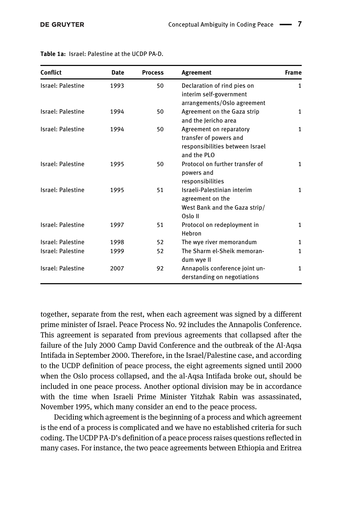| Conflict                  | <b>Date</b> | <b>Process</b> | Agreement                                                                                           | <b>Frame</b> |
|---------------------------|-------------|----------------|-----------------------------------------------------------------------------------------------------|--------------|
| Israel: Palestine<br>1993 |             | 50             | Declaration of rind pies on<br>interim self-government<br>arrangements/Oslo agreement               | $\mathbf{1}$ |
| <b>Israel: Palestine</b>  | 1994        | 50             | Agreement on the Gaza strip<br>and the Jericho area                                                 | $\mathbf{1}$ |
| Israel: Palestine         | 1994        | 50             | Agreement on reparatory<br>transfer of powers and<br>responsibilities between Israel<br>and the PLO | $\mathbf{1}$ |
| Israel: Palestine         | 1995        | 50             | Protocol on further transfer of<br>powers and<br>responsibilities                                   | $\mathbf{1}$ |
| Israel: Palestine         | 1995        | 51             | Israeli-Palestinian interim<br>agreement on the<br>West Bank and the Gaza strip/<br>Oslo II         | $\mathbf{1}$ |
| Israel: Palestine         | 1997        | 51             | Protocol on redeployment in<br>Hebron                                                               | $\mathbf{1}$ |
| Israel: Palestine         | 1998        | 52             | The wye river memorandum                                                                            | $\mathbf{1}$ |
| <b>Israel: Palestine</b>  | 1999        | 52             | The Sharm el-Sheik memoran-<br>dum wye II                                                           | $\mathbf{1}$ |
| Israel: Palestine         | 2007        | 92             | Annapolis conference joint un-<br>derstanding on negotiations                                       | $\mathbf{1}$ |

<span id="page-6-0"></span>Table 1a: Israel: Palestine at the UCDP PA-D.

together, separate from the rest, when each agreement was signed by a different prime minister of Israel. Peace Process No. 92 includes the Annapolis Conference. This agreement is separated from previous agreements that collapsed after the failure of the July 2000 Camp David Conference and the outbreak of the Al-Aqsa Intifada in September 2000. Therefore, in the Israel/Palestine case, and according to the UCDP definition of peace process, the eight agreements signed until 2000 when the Oslo process collapsed, and the al-Aqsa Intifada broke out, should be included in one peace process. Another optional division may be in accordance with the time when Israeli Prime Minister Yitzhak Rabin was assassinated, November 1995, which many consider an end to the peace process.

Deciding which agreement is the beginning of a process and which agreement is the end of a process is complicated and we have no established criteria for such coding. The UCDP PA-D's definition of a peace process raises questions reflected in many cases. For instance, the two peace agreements between Ethiopia and Eritrea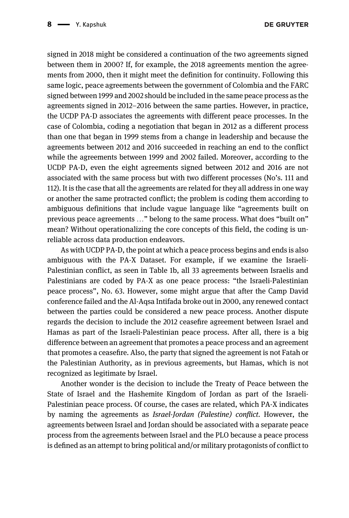signed in 2018 might be considered a continuation of the two agreements signed between them in 2000? If, for example, the 2018 agreements mention the agreements from 2000, then it might meet the definition for continuity. Following this same logic, peace agreements between the government of Colombia and the FARC signed between 1999 and 2002 should be included in the same peace process as the agreements signed in 2012–2016 between the same parties. However, in practice, the UCDP PA-D associates the agreements with different peace processes. In the case of Colombia, coding a negotiation that began in 2012 as a different process than one that began in 1999 stems from a change in leadership and because the agreements between 2012 and 2016 succeeded in reaching an end to the conflict while the agreements between 1999 and 2002 failed. Moreover, according to the UCDP PA-D, even the eight agreements signed between 2012 and 2016 are not associated with the same process but with two different processes (No's. 111 and 112). It is the case that all the agreements are related for they all address in one way or another the same protracted conflict; the problem is coding them according to ambiguous definitions that include vague language like "agreements built on previous peace agreements …" belong to the same process. What does "built on" mean? Without operationalizing the core concepts of this field, the coding is unreliable across data production endeavors.

As with UCDP PA-D, the point at which a peace process begins and ends is also ambiguous with the PA-X Dataset. For example, if we examine the Israeli-Palestinian conflict, as seen in [Table 1b,](#page-8-0) all 33 agreements between Israelis and Palestinians are coded by PA-X as one peace process: "the Israeli-Palestinian peace process", No. 63. However, some might argue that after the Camp David conference failed and the Al-Aqsa Intifada broke out in 2000, any renewed contact between the parties could be considered a new peace process. Another dispute regards the decision to include the 2012 ceasefire agreement between Israel and Hamas as part of the Israeli-Palestinian peace process. After all, there is a big difference between an agreement that promotes a peace process and an agreement that promotes a ceasefire. Also, the party that signed the agreement is not Fatah or the Palestinian Authority, as in previous agreements, but Hamas, which is not recognized as legitimate by Israel.

Another wonder is the decision to include the Treaty of Peace between the State of Israel and the Hashemite Kingdom of Jordan as part of the Israeli-Palestinian peace process. Of course, the cases are related, which PA-X indicates by naming the agreements as Israel-Jordan (Palestine) conflict. However, the agreements between Israel and Jordan should be associated with a separate peace process from the agreements between Israel and the PLO because a peace process is defined as an attempt to bring political and/or military protagonists of conflict to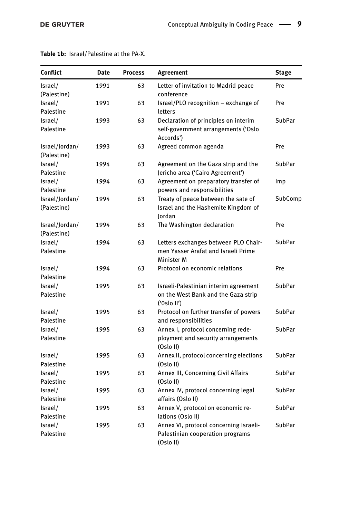| <b>Conflict</b> | Date | <b>Process</b> | <b>Agreement</b>                                   | <b>Stage</b>  |
|-----------------|------|----------------|----------------------------------------------------|---------------|
| Israel/         | 1991 | 63             | Letter of invitation to Madrid peace               | Pre           |
| (Palestine)     |      |                | conference                                         |               |
| Israel/         | 1991 | 63             | Israel/PLO recognition - exchange of               | Pre           |
| Palestine       |      |                | letters                                            |               |
| Israel/         | 1993 | 63             | Declaration of principles on interim               | <b>SubPar</b> |
| Palestine       |      |                | self-government arrangements ('Oslo<br>Accords')   |               |
| Israel/Jordan/  | 1993 | 63             | Agreed common agenda                               | Pre           |
| (Palestine)     |      |                |                                                    |               |
| Israel/         | 1994 | 63             | Agreement on the Gaza strip and the                | SubPar        |
| Palestine       |      |                | Jericho area ('Cairo Agreement')                   |               |
| Israel/         | 1994 | 63             | Agreement on preparatory transfer of               | Imp           |
| Palestine       |      |                | powers and responsibilities                        |               |
| Israel/Jordan/  | 1994 | 63             | Treaty of peace between the sate of                | SubComp       |
| (Palestine)     |      |                | Israel and the Hashemite Kingdom of                |               |
|                 |      |                | lordan                                             |               |
| Israel/Jordan/  | 1994 | 63             | The Washington declaration                         | Pre           |
| (Palestine)     |      |                |                                                    |               |
| Israel/         | 1994 | 63             | Letters exchanges between PLO Chair-               | SubPar        |
| Palestine       |      |                | men Yasser Arafat and Israeli Prime<br>Minister M  |               |
| Israel/         | 1994 | 63             | Protocol on economic relations                     | Pre           |
| Palestine       |      |                |                                                    |               |
| Israel/         | 1995 | 63             | Israeli-Palestinian interim agreement              | <b>SubPar</b> |
| Palestine       |      |                | on the West Bank and the Gaza strip<br>('0slo II') |               |
| Israel/         | 1995 | 63             | Protocol on further transfer of powers             | <b>SubPar</b> |
| Palestine       |      |                | and responsibilities                               |               |
| Israel/         | 1995 | 63             | Annex I, protocol concerning rede-                 | SubPar        |
| Palestine       |      |                | ployment and security arrangements                 |               |
|                 |      |                | (Oslo II)                                          |               |
| Israel/         | 1995 | 63             | Annex II, protocol concerning elections            | SubPar        |
| Palestine       |      |                | (Oslo II)                                          |               |
| Israel/         | 1995 | 63             | Annex III, Concerning Civil Affairs                | <b>SubPar</b> |
| Palestine       |      |                | (Oslo II)                                          |               |
| Israel/         | 1995 | 63             | Annex IV, protocol concerning legal                | SubPar        |
| Palestine       |      |                | affairs (Oslo II)                                  |               |
| Israel/         | 1995 | 63             | Annex V, protocol on economic re-                  | <b>SubPar</b> |
| Palestine       |      |                | lations (Oslo II)                                  |               |
| Israel/         | 1995 | 63             | Annex VI, protocol concerning Israeli-             | SubPar        |
| Palestine       |      |                | Palestinian cooperation programs<br>(Oslo II)      |               |

#### <span id="page-8-0"></span>Table 1b: Israel/Palestine at the PA-X.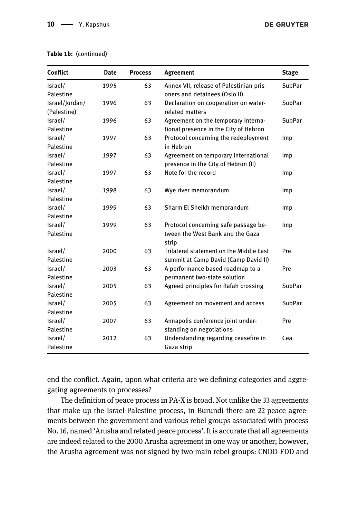| <b>Conflict</b> | <b>Date</b> | <b>Process</b> | Agreement                                 | <b>Stage</b>  |
|-----------------|-------------|----------------|-------------------------------------------|---------------|
| Israel/         | 1995        | 63             | Annex VII, release of Palestinian pris-   | <b>SubPar</b> |
| Palestine       |             |                | oners and detainees (Oslo II)             |               |
| Israel/Jordan/  | 1996        | 63             | Declaration on cooperation on water-      | SubPar        |
| (Palestine)     |             |                | related matters                           |               |
| Israel/         | 1996        | 63             | Agreement on the temporary interna-       | SubPar        |
| Palestine       |             |                | tional presence in the City of Hebron     |               |
| Israel/         | 1997        | 63             | Protocol concerning the redeployment      | Imp           |
| Palestine       |             |                | in Hebron                                 |               |
| Israel/         | 1997        | 63             | Agreement on temporary international      | Imp           |
| Palestine       |             |                | presence in the City of Hebron (II)       |               |
| Israel/         | 1997        | 63             | Note for the record                       | Imp           |
| Palestine       |             |                |                                           |               |
| Israel/         | 1998        | 63             | Wye river memorandum                      | lmp           |
| Palestine       |             |                |                                           |               |
| Israel/         | 1999        | 63             | Sharm El Sheikh memorandum                | <b>Imp</b>    |
| Palestine       |             |                |                                           |               |
| Israel/         | 1999        | 63             | Protocol concerning safe passage be-      | Imp           |
| Palestine       |             |                | tween the West Bank and the Gaza<br>strip |               |
| Israel/         | 2000        | 63             | Trilateral statement on the Middle East   | Pre           |
| Palestine       |             |                | summit at Camp David (Camp David II)      |               |
| Israel/         | 2003        | 63             | A performance based roadmap to a          | Pre           |
| Palestine       |             |                | permanent two-state solution              |               |
| Israel/         | 2005        | 63             | Agreed principles for Rafah crossing      | <b>SubPar</b> |
| Palestine       |             |                |                                           |               |
| Israel/         | 2005        | 63             | Agreement on movement and access          | <b>SubPar</b> |
| Palestine       |             |                |                                           |               |
| Israel/         | 2007        | 63             | Annapolis conference joint under-         | Pre           |
| Palestine       |             |                | standing on negotiations                  |               |
| Israel/         | 2012        | 63             | Understanding regarding ceasefire in      | Cea           |
| Palestine       |             |                | Gaza strip                                |               |

#### Table 1b: (continued)

end the conflict. Again, upon what criteria are we defining categories and aggregating agreements to processes?

The definition of peace process in PA-X is broad. Not unlike the 33 agreements that make up the Israel-Palestine process, in Burundi there are 22 peace agreements between the government and various rebel groups associated with process No. 16, named 'Arusha and related peace process'. It is accurate that all agreements are indeed related to the 2000 Arusha agreement in one way or another; however, the Arusha agreement was not signed by two main rebel groups: CNDD-FDD and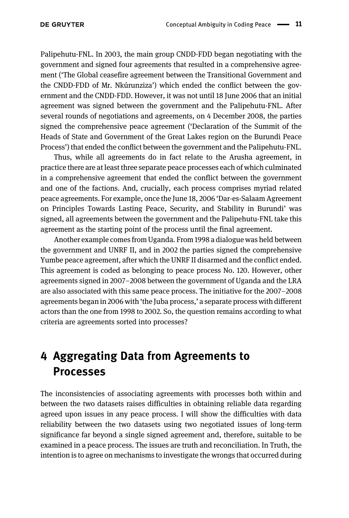Palipehutu-FNL. In 2003, the main group CNDD-FDD began negotiating with the government and signed four agreements that resulted in a comprehensive agreement ('The Global ceasefire agreement between the Transitional Government and the CNDD-FDD of Mr. Nkúrunziza') which ended the conflict between the government and the CNDD-FDD. However, it was not until 18 June 2006 that an initial agreement was signed between the government and the Palipehutu-FNL. After several rounds of negotiations and agreements, on 4 December 2008, the parties signed the comprehensive peace agreement ('Declaration of the Summit of the Heads of State and Government of the Great Lakes region on the Burundi Peace Process') that ended the conflict between the government and the Palipehutu-FNL.

Thus, while all agreements do in fact relate to the Arusha agreement, in practice there are at least three separate peace processes each of which culminated in a comprehensive agreement that ended the conflict between the government and one of the factions. And, crucially, each process comprises myriad related peace agreements. For example, once the June 18, 2006 'Dar-es-Salaam Agreement on Principles Towards Lasting Peace, Security, and Stability in Burundi' was signed, all agreements between the government and the Palipehutu-FNL take this agreement as the starting point of the process until the final agreement.

Another example comes from Uganda. From 1998 a dialogue was held between the government and UNRF II, and in 2002 the parties signed the comprehensive Yumbe peace agreement, after which the UNRF II disarmed and the conflict ended. This agreement is coded as belonging to peace process No. 120. However, other agreements signed in 2007–2008 between the government of Uganda and the LRA are also associated with this same peace process. The initiative for the 2007–2008 agreements began in 2006 with 'the Juba process,' a separate process with different actors than the one from 1998 to 2002. So, the question remains according to what criteria are agreements sorted into processes?

### 4 Aggregating Data from Agreements to Processes

The inconsistencies of associating agreements with processes both within and between the two datasets raises difficulties in obtaining reliable data regarding agreed upon issues in any peace process. I will show the difficulties with data reliability between the two datasets using two negotiated issues of long-term significance far beyond a single signed agreement and, therefore, suitable to be examined in a peace process. The issues are truth and reconciliation. In Truth, the intention is to agree on mechanisms to investigate the wrongs that occurred during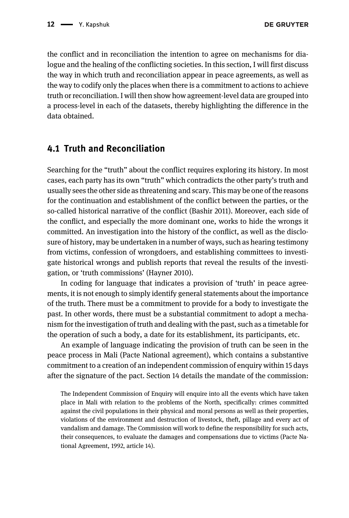the conflict and in reconciliation the intention to agree on mechanisms for dialogue and the healing of the conflicting societies. In this section, I will first discuss the way in which truth and reconciliation appear in peace agreements, as well as the way to codify only the places when there is a commitment to actions to achieve truth or reconciliation. I will then show how agreement-level data are grouped into a process-level in each of the datasets, thereby highlighting the difference in the data obtained.

#### 4.1 Truth and Reconciliation

Searching for the "truth" about the conflict requires exploring its history. In most cases, each party has its own "truth" which contradicts the other party's truth and usually sees the other side as threatening and scary. This may be one of the reasons for the continuation and establishment of the conflict between the parties, or the so-called historical narrative of the conflict [\(Bashir 2011](#page-23-14)). Moreover, each side of the conflict, and especially the more dominant one, works to hide the wrongs it committed. An investigation into the history of the conflict, as well as the disclosure of history, may be undertaken in a number of ways, such as hearing testimony from victims, confession of wrongdoers, and establishing committees to investigate historical wrongs and publish reports that reveal the results of the investigation, or 'truth commissions' [\(Hayner 2010\)](#page-23-15).

In coding for language that indicates a provision of 'truth' in peace agreements, it is not enough to simply identify general statements about the importance of the truth. There must be a commitment to provide for a body to investigate the past. In other words, there must be a substantial commitment to adopt a mechanism for the investigation of truth and dealing with the past, such as a timetable for the operation of such a body, a date for its establishment, its participants, etc.

An example of language indicating the provision of truth can be seen in the peace process in Mali (Pacte National agreement), which contains a substantive commitment to a creation of an independent commission of enquiry within 15 days after the signature of the pact. Section 14 details the mandate of the commission:

The Independent Commission of Enquiry will enquire into all the events which have taken place in Mali with relation to the problems of the North, specifically: crimes committed against the civil populations in their physical and moral persons as well as their properties, violations of the environment and destruction of livestock, theft, pillage and every act of vandalism and damage. The Commission will work to define the responsibility for such acts, their consequences, to evaluate the damages and compensations due to victims (Pacte National Agreement, 1992, article 14).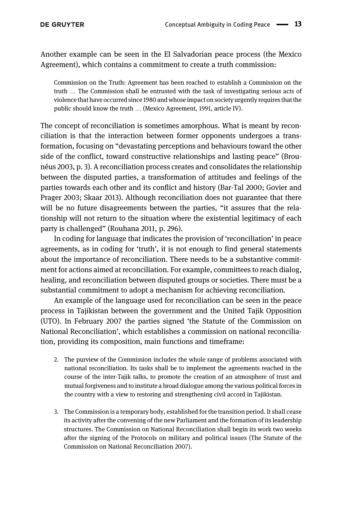Another example can be seen in the El Salvadorian peace process (the Mexico Agreement), which contains a commitment to create a truth commission:

Commission on the Truth: Agreement has been reached to establish a Commission on the truth … The Commission shall be entrusted with the task of investigating serious acts of violence that have occurred since 1980 and whose impact on society urgently requires that the public should know the truth … (Mexico Agreement, 1991, article IV).

The concept of reconciliation is sometimes amorphous. What is meant by reconciliation is that the interaction between former opponents undergoes a transformation, focusing on "devastating perceptions and behaviours toward the other side of the conflict, toward constructive relationships and lasting peace" [\(Brou](#page-23-16)[néus 2003,](#page-23-16) p. 3). A reconciliation process creates and consolidates the relationship between the disputed parties, a transformation of attitudes and feelings of the parties towards each other and its conflict and history [\(Bar-Tal 2000; Govier and](#page-23-17) [Prager 2003; Skaar 2013](#page-23-17)). Although reconciliation does not guarantee that there will be no future disagreements between the parties, "it assures that the relationship will not return to the situation where the existential legitimacy of each party is challenged" ([Rouhana 2011,](#page-24-2) p. 296).

In coding for language that indicates the provision of 'reconciliation' in peace agreements, as in coding for 'truth', it is not enough to find general statements about the importance of reconciliation. There needs to be a substantive commitment for actions aimed at reconciliation. For example, committees to reach dialog, healing, and reconciliation between disputed groups or societies. There must be a substantial commitment to adopt a mechanism for achieving reconciliation.

An example of the language used for reconciliation can be seen in the peace process in Tajikistan between the government and the United Tajik Opposition (UTO). In February 2007 the parties signed 'the Statute of the Commission on National Reconciliation', which establishes a commission on national reconciliation, providing its composition, main functions and timeframe:

- 2. The purview of the Commission includes the whole range of problems associated with national reconciliation. Its tasks shall be to implement the agreements reached in the course of the inter-Tajik talks, to promote the creation of an atmosphere of trust and mutual forgiveness and to institute a broad dialogue among the various political forces in the country with a view to restoring and strengthening civil accord in Tajikistan.
- 3. The Commission is a temporary body, established for the transition period. It shall cease its activity after the convening of the new Parliament and the formation of its leadership structures. The Commission on National Reconciliation shall begin its work two weeks after the signing of the Protocols on military and political issues [\(The Statute of the](#page-24-3) [Commission on National Reconciliation 2007](#page-24-3)).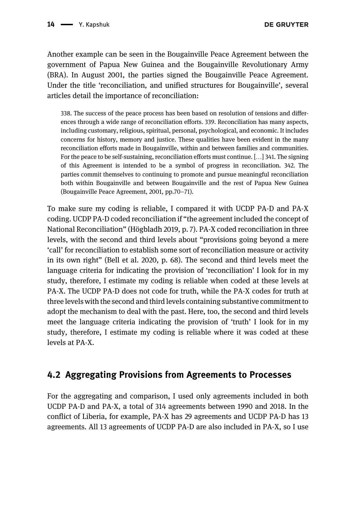**DE GRUYTER** 

Another example can be seen in the Bougainville Peace Agreement between the government of Papua New Guinea and the Bougainville Revolutionary Army (BRA). In August 2001, the parties signed the Bougainville Peace Agreement. Under the title 'reconciliation, and unified structures for Bougainville', several articles detail the importance of reconciliation:

338. The success of the peace process has been based on resolution of tensions and differences through a wide range of reconciliation efforts. 339. Reconciliation has many aspects, including customary, religious, spiritual, personal, psychological, and economic. It includes concerns for history, memory and justice. These qualities have been evident in the many reconciliation efforts made in Bougainville, within and between families and communities. For the peace to be self-sustaining, reconciliation efforts must continue. […] 341. The signing of this Agreement is intended to be a symbol of progress in reconciliation. 342. The parties commit themselves to continuing to promote and pursue meaningful reconciliation both within Bougainville and between Bougainville and the rest of Papua New Guinea (Bougainville Peace Agreement, 2001, pp.70–71).

To make sure my coding is reliable, I compared it with UCDP PA-D and PA-X coding. UCDP PA-D coded reconciliation if "the agreement included the concept of National Reconciliation" [\(Högbladh 2019](#page-23-12), p. 7). PA-X coded reconciliation in three levels, with the second and third levels about "provisions going beyond a mere 'call' for reconciliation to establish some sort of reconciliation measure or activity in its own right" ([Bell et al. 2020](#page-23-1), p. 68). The second and third levels meet the language criteria for indicating the provision of 'reconciliation' I look for in my study, therefore, I estimate my coding is reliable when coded at these levels at PA-X. The UCDP PA-D does not code for truth, while the PA-X codes for truth at three levels with the second and third levels containing substantive commitment to adopt the mechanism to deal with the past. Here, too, the second and third levels meet the language criteria indicating the provision of 'truth' I look for in my study, therefore, I estimate my coding is reliable where it was coded at these levels at PA-X.

#### 4.2 Aggregating Provisions from Agreements to Processes

For the aggregating and comparison, I used only agreements included in both UCDP PA-D and PA-X, a total of 314 agreements between 1990 and 2018. In the conflict of Liberia, for example, PA-X has 29 agreements and UCDP PA-D has 13 agreements. All 13 agreements of UCDP PA-D are also included in PA-X, so I use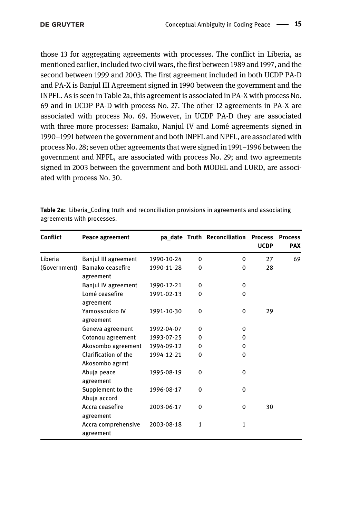those 13 for aggregating agreements with processes. The conflict in Liberia, as mentioned earlier, included two civil wars, the first between 1989 and 1997, and the second between 1999 and 2003. The first agreement included in both UCDP PA-D and PA-X is Banjul III Agreement signed in 1990 between the government and the INPFL. As is seen in [Table 2a,](#page-14-0) this agreement is associated in PA-X with process No. 69 and in UCDP PA-D with process No. 27. The other 12 agreements in PA-X are associated with process No. 69. However, in UCDP PA-D they are associated with three more processes: Bamako, Nanjul IV and Lomé agreements signed in 1990–1991 between the government and both INPFL and NPFL, are associated with process No. 28; seven other agreements that were signed in 1991–1996 between the government and NPFL, are associated with process No. 29; and two agreements signed in 2003 between the government and both MODEL and LURD, are associated with process No. 30.

| Conflict     | Peace agreement                        |            |              | pa_date Truth Reconciliation Process | <b>UCDP</b> | <b>Process</b><br><b>PAX</b> |
|--------------|----------------------------------------|------------|--------------|--------------------------------------|-------------|------------------------------|
| Liberia      | Banjul III agreement                   | 1990-10-24 | $\Omega$     | $\Omega$                             | 27          | 69                           |
| (Government) | Bamako ceasefire<br>agreement          | 1990-11-28 | $\Omega$     | 0                                    | 28          |                              |
|              | Banjul IV agreement                    | 1990-12-21 | 0            | 0                                    |             |                              |
|              | Lomé ceasefire<br>agreement            | 1991-02-13 | $\mathbf{0}$ | 0                                    |             |                              |
|              | Yamossoukro IV<br>agreement            | 1991-10-30 | $\mathbf{0}$ | $\mathbf{0}$                         | 29          |                              |
|              | Geneva agreement                       | 1992-04-07 | $\Omega$     | 0                                    |             |                              |
|              | Cotonou agreement                      | 1993-07-25 | 0            | 0                                    |             |                              |
|              | Akosombo agreement                     | 1994-09-12 | $\Omega$     | 0                                    |             |                              |
|              | Clarification of the<br>Akosombo agrmt | 1994-12-21 | $\mathbf{0}$ | $\Omega$                             |             |                              |
|              | Abuja peace<br>agreement               | 1995-08-19 | $\Omega$     | 0                                    |             |                              |
|              | Supplement to the<br>Abuja accord      | 1996-08-17 | $\Omega$     | $\Omega$                             |             |                              |
|              | Accra ceasefire<br>agreement           | 2003-06-17 | 0            | 0                                    | 30          |                              |
|              | Accra comprehensive<br>agreement       | 2003-08-18 | $\mathbf{1}$ | 1                                    |             |                              |

<span id="page-14-0"></span>Table 2a: Liberia Coding truth and reconciliation provisions in agreements and associating agreements with processes.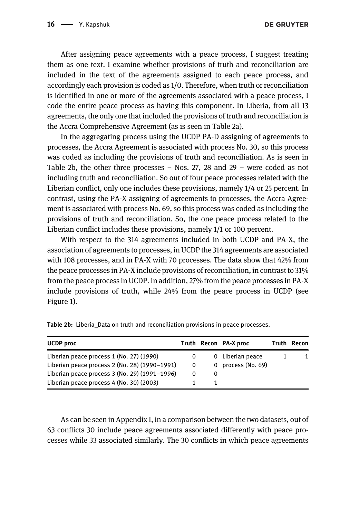After assigning peace agreements with a peace process, I suggest treating them as one text. I examine whether provisions of truth and reconciliation are included in the text of the agreements assigned to each peace process, and accordingly each provision is coded as 1/0. Therefore, when truth or reconciliation is identified in one or more of the agreements associated with a peace process, I code the entire peace process as having this component. In Liberia, from all 13 agreements, the only one that included the provisions of truth and reconciliation is the Accra Comprehensive Agreement (as is seen in [Table 2a](#page-14-0)).

In the aggregating process using the UCDP PA-D assigning of agreements to processes, the Accra Agreement is associated with process No. 30, so this process was coded as including the provisions of truth and reconciliation. As is seen in [Table 2b](#page-15-0), the other three processes  $-$  Nos. 27, 28 and 29  $-$  were coded as not including truth and reconciliation. So out of four peace processes related with the Liberian conflict, only one includes these provisions, namely 1/4 or 25 percent. In contrast, using the PA-X assigning of agreements to processes, the Accra Agreement is associated with process No. 69, so this process was coded as including the provisions of truth and reconciliation. So, the one peace process related to the Liberian conflict includes these provisions, namely 1/1 or 100 percent.

With respect to the 314 agreements included in both UCDP and PA-X, the association of agreements to processes, in UCDP the 314 agreements are associated with 108 processes, and in PA-X with 70 processes. The data show that 42% from the peace processes in PA-X include provisions of reconciliation, in contrast to 31% from the peace process in UCDP. In addition, 27% from the peace processes in PA-X include provisions of truth, while 24% from the peace process in UCDP (see [Figure 1\)](#page-16-0).

| <b>UCDP</b> proc                              |   | Truth Recon PA-X proc | Truth | Recon |
|-----------------------------------------------|---|-----------------------|-------|-------|
| Liberian peace process 1 (No. 27) (1990)      | 0 | 0 Liberian peace      |       | 1.    |
| Liberian peace process 2 (No. 28) (1990–1991) | 0 | 0 process (No. 69)    |       |       |
| Liberian peace process 3 (No. 29) (1991–1996) | 0 |                       |       |       |
| Liberian peace process 4 (No. 30) (2003)      |   |                       |       |       |

<span id="page-15-0"></span>Table 2b: Liberia\_Data on truth and reconciliation provisions in peace processes.

As can be seen in [Appendix I](#page-24-0), in a comparison between the two datasets, out of 63 conflicts 30 include peace agreements associated differently with peace processes while 33 associated similarly. The 30 conflicts in which peace agreements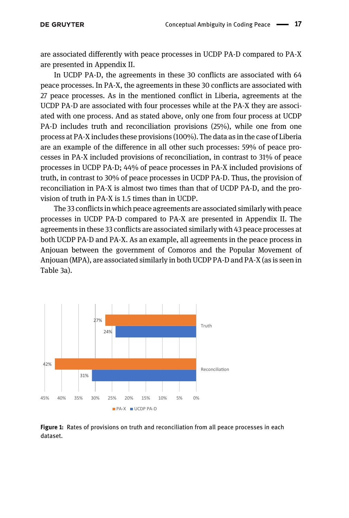are associated differently with peace processes in UCDP PA-D compared to PA-X are presented in [Appendix II](#page-24-0).

In UCDP PA-D, the agreements in these 30 conflicts are associated with 64 peace processes. In PA-X, the agreements in these 30 conflicts are associated with 27 peace processes. As in the mentioned conflict in Liberia, agreements at the UCDP PA-D are associated with four processes while at the PA-X they are associated with one process. And as stated above, only one from four process at UCDP PA-D includes truth and reconciliation provisions (25%), while one from one process at PA-X includes these provisions (100%). The data as in the case of Liberia are an example of the difference in all other such processes: 59% of peace processes in PA-X included provisions of reconciliation, in contrast to 31% of peace processes in UCDP PA-D; 44% of peace processes in PA-X included provisions of truth, in contrast to 30% of peace processes in UCDP PA-D. Thus, the provision of reconciliation in PA-X is almost two times than that of UCDP PA-D, and the provision of truth in PA-X is 1.5 times than in UCDP.

The 33 conflicts in which peace agreements are associated similarly with peace processes in UCDP PA-D compared to PA-X are presented in [Appendix II.](#page-24-0) The agreements in these 33 conflicts are associated similarly with 43 peace processes at both UCDP PA-D and PA-X. As an example, all agreements in the peace process in Anjouan between the government of Comoros and the Popular Movement of Anjouan (MPA), are associated similarly in both UCDP PA-D and PA-X (as is seen in [Table 3a](#page-17-0)).



<span id="page-16-0"></span>Figure 1: Rates of provisions on truth and reconciliation from all peace processes in each dataset.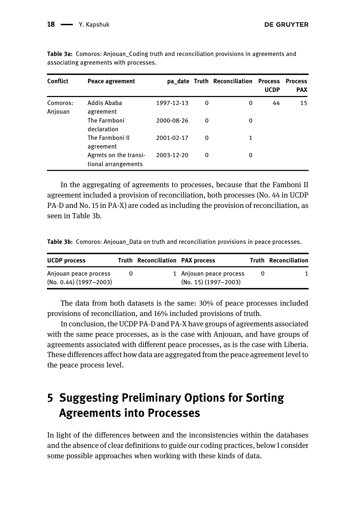| Conflict            | Peace agreement                              |            |   | pa date Truth Reconciliation Process | <b>UCDP</b> | <b>Process</b><br><b>PAX</b> |
|---------------------|----------------------------------------------|------------|---|--------------------------------------|-------------|------------------------------|
| Comoros:<br>Anjouan | Addis Ababa<br>agreement                     | 1997-12-13 | 0 | 0                                    | 44          | 15                           |
|                     | The Farmboni<br>declaration                  | 2000-08-26 | 0 | 0                                    |             |                              |
|                     | The Farmboni II<br>agreement                 | 2001-02-17 | 0 | 1                                    |             |                              |
|                     | Agrmts on the transi-<br>tional arrangements | 2003-12-20 | 0 | 0                                    |             |                              |

<span id="page-17-0"></span>Table 3a: Comoros: Anjouan Coding truth and reconciliation provisions in agreements and associating agreements with processes.

In the aggregating of agreements to processes, because that the Famboni II agreement included a provision of reconciliation, both processes (No. 44 in UCDP PA-D and No. 15 in PA-X) are coded as including the provision of reconciliation, as seen in [Table 3b.](#page-17-1)

<span id="page-17-1"></span>Table 3b: Comoros: Anjouan\_Data on truth and reconciliation provisions in peace processes.

| <b>UCDP</b> process                                 | Truth Reconciliation PAX process |                                                     |   | <b>Truth Reconciliation</b> |
|-----------------------------------------------------|----------------------------------|-----------------------------------------------------|---|-----------------------------|
| Anjouan peace process<br>$(No. 0.44) (1997 - 2003)$ |                                  | 1 Anjouan peace process<br>$(No. 15) (1997 - 2003)$ | 0 |                             |

The data from both datasets is the same: 30% of peace processes included provisions of reconciliation, and 16% included provisions of truth.

In conclusion, the UCDP PA-D and PA-X have groups of agreements associated with the same peace processes, as is the case with Anjouan, and have groups of agreements associated with different peace processes, as is the case with Liberia. These differences affect how data are aggregated from the peace agreement level to the peace process level.

# 5 Suggesting Preliminary Options for Sorting Agreements into Processes

In light of the differences between and the inconsistencies within the databases and the absence of clear definitions to guide our coding practices, below I consider some possible approaches when working with these kinds of data.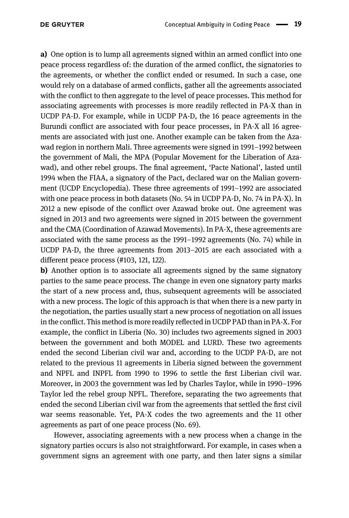a) One option is to lump all agreements signed within an armed conflict into one peace process regardless of: the duration of the armed conflict, the signatories to the agreements, or whether the conflict ended or resumed. In such a case, one would rely on a database of armed conflicts, gather all the agreements associated with the conflict to then aggregate to the level of peace processes. This method for associating agreements with processes is more readily reflected in PA-X than in UCDP PA-D. For example, while in UCDP PA-D, the 16 peace agreements in the Burundi conflict are associated with four peace processes, in PA-X all 16 agreements are associated with just one. Another example can be taken from the Azawad region in northern Mali. Three agreements were signed in 1991–1992 between the government of Mali, the MPA (Popular Movement for the Liberation of Azawad), and other rebel groups. The final agreement, 'Pacte National', lasted until 1994 when the FIAA, a signatory of the Pact, declared war on the Malian government (UCDP Encyclopedia). These three agreements of 1991–1992 are associated with one peace process in both datasets (No. 54 in UCDP PA-D, No. 74 in PA-X). In 2012 a new episode of the conflict over Azawad broke out. One agreement was signed in 2013 and two agreements were signed in 2015 between the government and the CMA (Coordination of Azawad Movements). In PA-X, these agreements are associated with the same process as the 1991–1992 agreements (No. 74) while in UCDP PA-D, the three agreements from 2013–2015 are each associated with a different peace process (#103, 121, 122).

b) Another option is to associate all agreements signed by the same signatory parties to the same peace process. The change in even one signatory party marks the start of a new process and, thus, subsequent agreements will be associated with a new process. The logic of this approach is that when there is a new party in the negotiation, the parties usually start a new process of negotiation on all issues in the conflict. This method is more readily reflected in UCDP PAD than in PA-X. For example, the conflict in Liberia (No. 30) includes two agreements signed in 2003 between the government and both MODEL and LURD. These two agreements ended the second Liberian civil war and, according to the UCDP PA-D, are not related to the previous 11 agreements in Liberia signed between the government and NPFL and INPFL from 1990 to 1996 to settle the first Liberian civil war. Moreover, in 2003 the government was led by Charles Taylor, while in 1990–1996 Taylor led the rebel group NPFL. Therefore, separating the two agreements that ended the second Liberian civil war from the agreements that settled the first civil war seems reasonable. Yet, PA-X codes the two agreements and the 11 other agreements as part of one peace process (No. 69).

However, associating agreements with a new process when a change in the signatory parties occurs is also not straightforward. For example, in cases when a government signs an agreement with one party, and then later signs a similar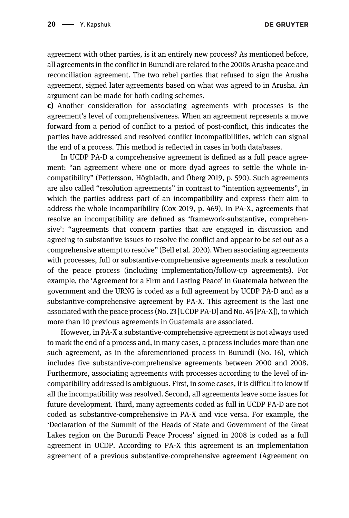**DE GRUYTER** 

agreement with other parties, is it an entirely new process? As mentioned before, all agreements in the conflict in Burundi are related to the 2000s Arusha peace and reconciliation agreement. The two rebel parties that refused to sign the Arusha agreement, signed later agreements based on what was agreed to in Arusha. An argument can be made for both coding schemes.

c) Another consideration for associating agreements with processes is the agreement's level of comprehensiveness. When an agreement represents a move forward from a period of conflict to a period of post-conflict, this indicates the parties have addressed and resolved conflict incompatibilities, which can signal the end of a process. This method is reflected in cases in both databases.

In UCDP PA-D a comprehensive agreement is defined as a full peace agreement: "an agreement where one or more dyad agrees to settle the whole incompatibility" [\(Pettersson, Högbladh, and Öberg 2019,](#page-23-2) p. 590). Such agreements are also called "resolution agreements" in contrast to "intention agreements", in which the parties address part of an incompatibility and express their aim to address the whole incompatibility [\(Cox 2019](#page-23-4), p. 469). In PA-X, agreements that resolve an incompatibility are defined as 'framework-substantive, comprehensive': "agreements that concern parties that are engaged in discussion and agreeing to substantive issues to resolve the conflict and appear to be set out as a comprehensive attempt to resolve" ([Bell et al. 2020](#page-23-1)). When associating agreements with processes, full or substantive-comprehensive agreements mark a resolution of the peace process (including implementation/follow-up agreements). For example, the 'Agreement for a Firm and Lasting Peace' in Guatemala between the government and the URNG is coded as a full agreement by UCDP PA-D and as a substantive-comprehensive agreement by PA-X. This agreement is the last one associated with the peace process (No. 23 [UCDP PA-D] and No. 45 [PA-X]), to which more than 10 previous agreements in Guatemala are associated.

However, in PA-X a substantive-comprehensive agreement is not always used to mark the end of a process and, in many cases, a process includes more than one such agreement, as in the aforementioned process in Burundi (No. 16), which includes five substantive-comprehensive agreements between 2000 and 2008. Furthermore, associating agreements with processes according to the level of incompatibility addressed is ambiguous. First, in some cases, it is difficult to know if all the incompatibility was resolved. Second, all agreements leave some issues for future development. Third, many agreements coded as full in UCDP PA-D are not coded as substantive-comprehensive in PA-X and vice versa. For example, the 'Declaration of the Summit of the Heads of State and Government of the Great Lakes region on the Burundi Peace Process' signed in 2008 is coded as a full agreement in UCDP. According to PA-X this agreement is an implementation agreement of a previous substantive-comprehensive agreement (Agreement on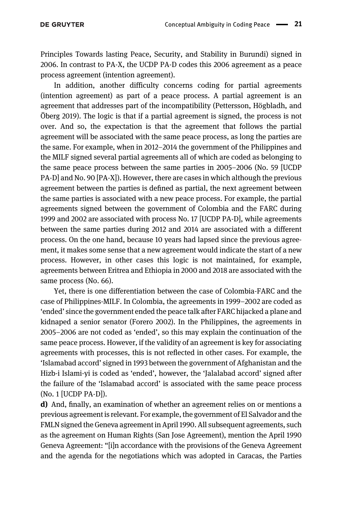Principles Towards lasting Peace, Security, and Stability in Burundi) signed in 2006. In contrast to PA-X, the UCDP PA-D codes this 2006 agreement as a peace process agreement (intention agreement).

In addition, another difficulty concerns coding for partial agreements (intention agreement) as part of a peace process. A partial agreement is an agreement that addresses part of the incompatibility [\(Pettersson, Högbladh, and](#page-23-2) [Öberg 2019\)](#page-23-2). The logic is that if a partial agreement is signed, the process is not over. And so, the expectation is that the agreement that follows the partial agreement will be associated with the same peace process, as long the parties are the same. For example, when in 2012–2014 the government of the Philippines and the MILF signed several partial agreements all of which are coded as belonging to the same peace process between the same parties in 2005–2006 (No. 59 [UCDP PA-D] and No. 90 [PA-X]). However, there are cases in which although the previous agreement between the parties is defined as partial, the next agreement between the same parties is associated with a new peace process. For example, the partial agreements signed between the government of Colombia and the FARC during 1999 and 2002 are associated with process No. 17 [UCDP PA-D], while agreements between the same parties during 2012 and 2014 are associated with a different process. On the one hand, because 10 years had lapsed since the previous agreement, it makes some sense that a new agreement would indicate the start of a new process. However, in other cases this logic is not maintained, for example, agreements between Eritrea and Ethiopia in 2000 and 2018 are associated with the same process (No. 66).

Yet, there is one differentiation between the case of Colombia-FARC and the case of Philippines-MILF. In Colombia, the agreements in 1999–2002 are coded as 'ended' since the government ended the peace talk after FARC hijacked a plane and kidnaped a senior senator [\(Forero 2002](#page-23-18)). In the Philippines, the agreements in 2005–2006 are not coded as 'ended', so this may explain the continuation of the same peace process. However, if the validity of an agreement is key for associating agreements with processes, this is not reflected in other cases. For example, the 'Islamabad accord' signed in 1993 between the government of Afghanistan and the Hizb-i Islami-yi is coded as 'ended', however, the 'Jalalabad accord' signed after the failure of the 'Islamabad accord' is associated with the same peace process (No. 1 [UCDP PA-D]).

d) And, finally, an examination of whether an agreement relies on or mentions a previous agreement is relevant. For example, the government of El Salvador and the FMLN signed the Geneva agreement in April 1990. All subsequent agreements, such as the agreement on Human Rights (San Jose Agreement), mention the April 1990 Geneva Agreement: "[i]n accordance with the provisions of the Geneva Agreement and the agenda for the negotiations which was adopted in Caracas, the Parties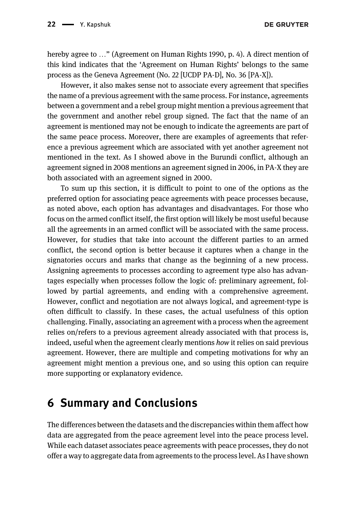hereby agree to ..." ([Agreement on Human Rights 1990,](#page-22-0) p. 4). A direct mention of this kind indicates that the 'Agreement on Human Rights' belongs to the same process as the Geneva Agreement (No. 22 [UCDP PA-D], No. 36 [PA-X]).

However, it also makes sense not to associate every agreement that specifies the name of a previous agreement with the same process. For instance, agreements between a government and a rebel group might mention a previous agreement that the government and another rebel group signed. The fact that the name of an agreement is mentioned may not be enough to indicate the agreements are part of the same peace process. Moreover, there are examples of agreements that reference a previous agreement which are associated with yet another agreement not mentioned in the text. As I showed above in the Burundi conflict, although an agreement signed in 2008 mentions an agreement signed in 2006, in PA-X they are both associated with an agreement signed in 2000.

To sum up this section, it is difficult to point to one of the options as the preferred option for associating peace agreements with peace processes because, as noted above, each option has advantages and disadvantages. For those who focus on the armed conflict itself, the first option will likely be most useful because all the agreements in an armed conflict will be associated with the same process. However, for studies that take into account the different parties to an armed conflict, the second option is better because it captures when a change in the signatories occurs and marks that change as the beginning of a new process. Assigning agreements to processes according to agreement type also has advantages especially when processes follow the logic of: preliminary agreement, followed by partial agreements, and ending with a comprehensive agreement. However, conflict and negotiation are not always logical, and agreement-type is often difficult to classify. In these cases, the actual usefulness of this option challenging. Finally, associating an agreement with a process when the agreement relies on/refers to a previous agreement already associated with that process is, indeed, useful when the agreement clearly mentions how it relies on said previous agreement. However, there are multiple and competing motivations for why an agreement might mention a previous one, and so using this option can require more supporting or explanatory evidence.

#### 6 Summary and Conclusions

The differences between the datasets and the discrepancies within them affect how data are aggregated from the peace agreement level into the peace process level. While each dataset associates peace agreements with peace processes, they do not offer a way to aggregate data from agreements to the process level. As I have shown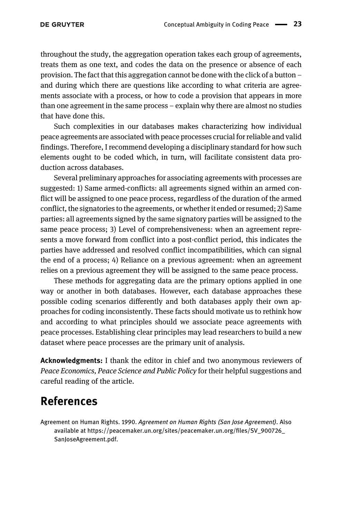throughout the study, the aggregation operation takes each group of agreements, treats them as one text, and codes the data on the presence or absence of each provision. The fact that this aggregation cannot be done with the click of a button – and during which there are questions like according to what criteria are agreements associate with a process, or how to code a provision that appears in more than one agreement in the same process – explain why there are almost no studies that have done this.

Such complexities in our databases makes characterizing how individual peace agreements are associated with peace processes crucial for reliable and valid findings. Therefore, I recommend developing a disciplinary standard for how such elements ought to be coded which, in turn, will facilitate consistent data production across databases.

Several preliminary approaches for associating agreements with processes are suggested: 1) Same armed-conflicts: all agreements signed within an armed conflict will be assigned to one peace process, regardless of the duration of the armed conflict, the signatories to the agreements, or whether it ended or resumed; 2) Same parties: all agreements signed by the same signatory parties will be assigned to the same peace process; 3) Level of comprehensiveness: when an agreement represents a move forward from conflict into a post-conflict period, this indicates the parties have addressed and resolved conflict incompatibilities, which can signal the end of a process; 4) Reliance on a previous agreement: when an agreement relies on a previous agreement they will be assigned to the same peace process.

These methods for aggregating data are the primary options applied in one way or another in both databases. However, each database approaches these possible coding scenarios differently and both databases apply their own approaches for coding inconsistently. These facts should motivate us to rethink how and according to what principles should we associate peace agreements with peace processes. Establishing clear principles may lead researchers to build a new dataset where peace processes are the primary unit of analysis.

Acknowledgments: I thank the editor in chief and two anonymous reviewers of Peace Economics, Peace Science and Public Policy for their helpful suggestions and careful reading of the article.

#### References

<span id="page-22-0"></span>Agreement on Human Rights. 1990. Agreement on Human Rights (San Jose Agreement). Also available at [https://peacemaker.un.org/sites/peacemaker.un.org/](https://peacemaker.un.org/sites/peacemaker.un.org/files/SV_900726_SanJoseAgreement.pdf)files/SV\_900726\_ [SanJoseAgreement.pdf](https://peacemaker.un.org/sites/peacemaker.un.org/files/SV_900726_SanJoseAgreement.pdf).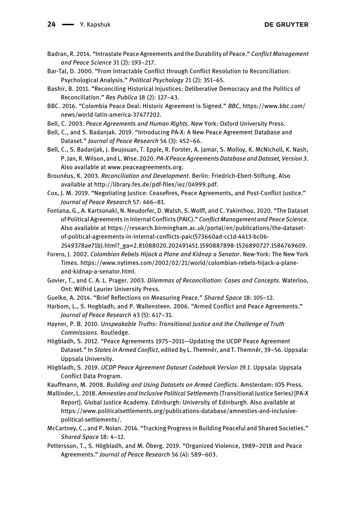- <span id="page-23-5"></span>Badran, R. 2014. "Intrastate Peace Agreements and the Durability of Peace." Conflict Management and Peace Science 31 (2): 193–217.
- <span id="page-23-17"></span>Bar-Tal, D. 2000. "From Intractable Conflict through Conflict Resolution to Reconciliation: Psychological Analysis." Political Psychology 21 (2): 351–65.
- <span id="page-23-14"></span>Bashir, B. 2011. "Reconciling Historical Injustices: Deliberative Democracy and the Politics of Reconciliation." Res Publica 18 (2): 127–43.
- <span id="page-23-0"></span>BBC. 2016. "Colombia Peace Deal: Historic Agreement is Signed." BBC, [https://www.bbc.com/](https://www.bbc.com/news/world-latin-america-37477202) [news/world-latin-america-37477202](https://www.bbc.com/news/world-latin-america-37477202).
- <span id="page-23-3"></span>Bell, C. 2003. Peace Agreements and Human Rights. New York: Oxford University Press.
- <span id="page-23-13"></span>Bell, C., and S. Badanjak. 2019. "Introducing PA-X: A New Peace Agreement Database and Dataset." Journal of Peace Research 56 (3): 452–66.
- <span id="page-23-1"></span>Bell, C., S. Badanjak, J. Beujouan, T. Epple, R. Forster, A. Jamar, S. Molloy, K. McNicholl, K. Nash, P. Jan, R. Wilson, and L. Wise. 2020. PA-X Peace Agreements Database and Dataset, Version 3. Also available at [www.peaceagreements.org.](http://www.peaceagreements.org)
- <span id="page-23-16"></span>Brounéus, K. 2003. Reconciliation and Development. Berlin: Friedrich-Ebert-Stiftung. Also available at [http://library.fes.de/pdf-](http://library.fes.de/pdf-files/iez/04999.pdf)files/iez/04999.pdf.
- <span id="page-23-4"></span>Cox, J. M. 2019. "Negotiating Justice: Ceasefires, Peace Agreements, and Post-Conflict Justice." Journal of Peace Research 57: 466–81.
- <span id="page-23-8"></span>Fontana, G., A. Kartsonaki, N. Neudorfer, D. Walsh, S. Wolff, and C. Yakinthou. 2020. "The Dataset of Political Agreements in Internal Conflicts (PAIC)." Conflict Management and Peace Science. Also available at [https://research.birmingham.ac.uk/portal/en/publications/the-dataset](https://research.birmingham.ac.uk/portal/en/publications/the-dataset-of-political-agreements-in-internal-conflicts-paic(573660ad-cc1d-4413-bc06-2549378ae71b).html?_ga=2.81088020.202491451.1590887898-1526890727.1586769609)[of-political-agreements-in-internal-con](https://research.birmingham.ac.uk/portal/en/publications/the-dataset-of-political-agreements-in-internal-conflicts-paic(573660ad-cc1d-4413-bc06-2549378ae71b).html?_ga=2.81088020.202491451.1590887898-1526890727.1586769609)flicts-paic(573660ad-cc1d-4413-bc06- [2549378ae71b\).html?\\_ga=2.81088020.202491451.1590887898-1526890727.1586769609.](https://research.birmingham.ac.uk/portal/en/publications/the-dataset-of-political-agreements-in-internal-conflicts-paic(573660ad-cc1d-4413-bc06-2549378ae71b).html?_ga=2.81088020.202491451.1590887898-1526890727.1586769609)
- <span id="page-23-18"></span>Forero, J. 2002. Colombian Rebels Hijack a Plane and Kidnap a Senator. New-York: The New York Times. [https://www.nytimes.com/2002/02/21/world/colombian-rebels-hijack-a-plane](https://www.nytimes.com/2002/02/21/world/colombian-rebels-hijack-a-plane-and-kidnap-a-senator.html)[and-kidnap-a-senator.html.](https://www.nytimes.com/2002/02/21/world/colombian-rebels-hijack-a-plane-and-kidnap-a-senator.html)
- Govier, T., and C. A. L. Prager. 2003. Dilemmas of Reconciliation: Cases and Concepts. Waterloo, Ont: Wilfrid Laurier University Press.
- <span id="page-23-10"></span>Guelke, A. 2014. "Brief Reflections on Measuring Peace." Shared Space 18: 105–12.
- <span id="page-23-11"></span>Harbom, L., S. Hogbladh, and P. Wallensteen. 2006. "Armed Conflict and Peace Agreements." Journal of Peace Research 43 (5): 617–31.
- <span id="page-23-15"></span>Hayner, P. B. 2010. Unspeakable Truths: Transitional Justice and the Challenge of Truth Commissions. Routledge.
- <span id="page-23-6"></span>Högbladh, S. 2012. "Peace Agreements 1975–2011—Updating the UCDP Peace Agreement Dataset." In States in Armed Conflict, edited by L. Themnér, and T. Themnér, 39-56. Uppsala: Uppsala University.
- <span id="page-23-12"></span>Högbladh, S. 2019. UCDP Peace Agreement Dataset Codebook Version 19.1. Uppsala: Uppsala Conflict Data Program.
- <span id="page-23-9"></span>Kauffmann, M. 2008. Building and Using Datasets on Armed Conflicts. Amsterdam: IOS Press.
- <span id="page-23-7"></span>Mallinder, L. 2018. Amnesties and Inclusive Political Settlements (Transitional Justice Series) [PA-X Report]. Global Justice Academy. Edinburgh: University of Edinburgh. Also available at [https://www.politicalsettlements.org/publications-database/amnesties-and-inclusive](https://www.politicalsettlements.org/publications-database/amnesties-and-inclusive-political-settlements/)[political-settlements/.](https://www.politicalsettlements.org/publications-database/amnesties-and-inclusive-political-settlements/)
- McCartney, C., and P. Nolan. 2014. "Tracking Progress in Building Peaceful and Shared Societies." Shared Space 18: 4–12.
- <span id="page-23-2"></span>Pettersson, T., S. Högbladh, and M. Öberg. 2019. "Organized Violence, 1989–2018 and Peace Agreements." Journal of Peace Research 56 (4): 589–603.